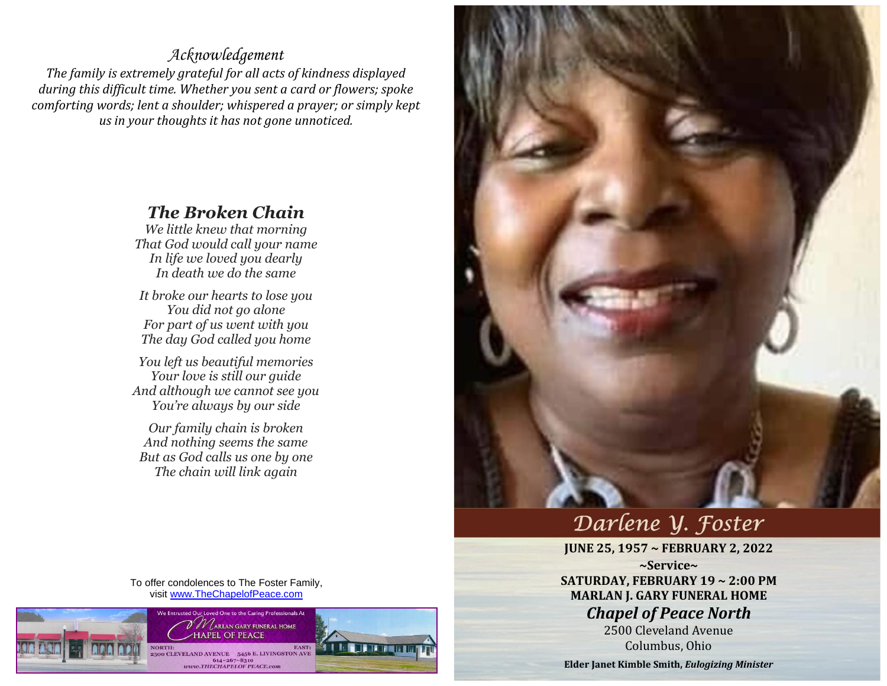## *Acknowledgement*

*The family is extremely grateful for all acts of kindness displayed during this difficult time. Whether you sent a card or flowers; spoke comforting words; lent a shoulder; whispered a prayer; or simply kept us in your thoughts it has not gone unnoticed.*

## *The Broken Chain*

*We little knew that morning That God would call your name In life we loved you dearly In death we do the same*

*It broke our hearts to lose you You did not go alone For part of us went with you The day God called you home*

*You left us beautiful memories Your love is still our guide And although we cannot see you You're always by our side*

*Our family chain is broken And nothing seems the same But as God calls us one by one The chain will link again*

To offer condolences to The Foster Family, visit [www.TheChapelofPeace.com](http://www.thechapelofpeace.com/)





## Darlene Y. Foster

**JUNE 25, 1957 ~ FEBRUARY 2, 2022 ~Service~ SATURDAY, FEBRUARY 19 ~ 2:00 PM MARLAN J. GARY FUNERAL HOME** *Chapel of Peace North*

2500 Cleveland Avenue Columbus, Ohio

**Elder Janet Kimble Smith,** *Eulogizing Minister*